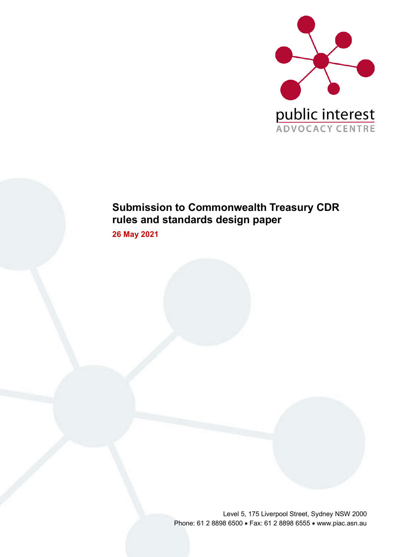

### **Submission to Commonwealth Treasury CDR rules and standards design paper**

**26 May 2021** 

Level 5, 175 Liverpool Street, Sydney NSW 2000 Phone: 61 2 8898 6500 • Fax: 61 2 8898 6555 • www.piac.asn.au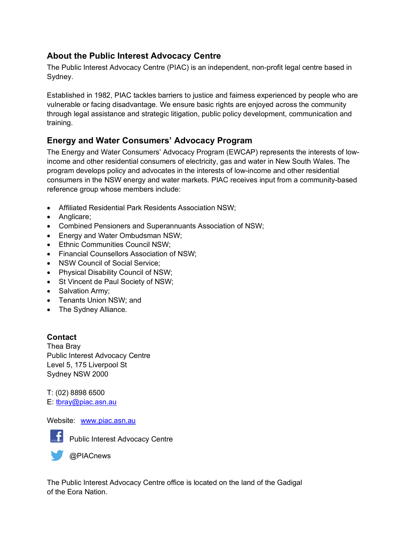### **About the Public Interest Advocacy Centre**

The Public Interest Advocacy Centre (PIAC) is an independent, non-profit legal centre based in Sydney.

Established in 1982, PIAC tackles barriers to justice and fairness experienced by people who are vulnerable or facing disadvantage. We ensure basic rights are enjoyed across the community through legal assistance and strategic litigation, public policy development, communication and training.

### **Energy and Water Consumers' Advocacy Program**

The Energy and Water Consumers' Advocacy Program (EWCAP) represents the interests of lowincome and other residential consumers of electricity, gas and water in New South Wales. The program develops policy and advocates in the interests of low-income and other residential consumers in the NSW energy and water markets. PIAC receives input from a community-based reference group whose members include:

- Affiliated Residential Park Residents Association NSW;
- Anglicare:
- Combined Pensioners and Superannuants Association of NSW;
- Energy and Water Ombudsman NSW;
- Ethnic Communities Council NSW;
- Financial Counsellors Association of NSW;
- NSW Council of Social Service;
- Physical Disability Council of NSW;
- St Vincent de Paul Society of NSW;
- Salvation Army:
- Tenants Union NSW; and
- The Sydney Alliance.

#### **Contact**

Thea Bray Public Interest Advocacy Centre Level 5, 175 Liverpool St Sydney NSW 2000

T: (02) 8898 6500 E: tbray@piac.asn.au

#### Website: www.piac.asn.au



**F** Public Interest Advocacy Centre

**OPIACnews** 

The Public Interest Advocacy Centre office is located on the land of the Gadigal of the Eora Nation.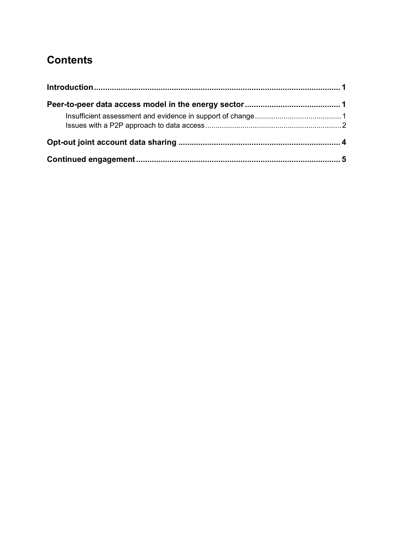# **Contents**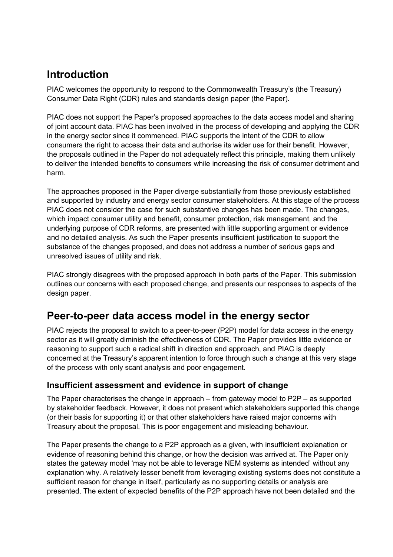## **Introduction**

PIAC welcomes the opportunity to respond to the Commonwealth Treasury's (the Treasury) Consumer Data Right (CDR) rules and standards design paper (the Paper).

PIAC does not support the Paper's proposed approaches to the data access model and sharing of joint account data. PIAC has been involved in the process of developing and applying the CDR in the energy sector since it commenced. PIAC supports the intent of the CDR to allow consumers the right to access their data and authorise its wider use for their benefit. However, the proposals outlined in the Paper do not adequately reflect this principle, making them unlikely to deliver the intended benefits to consumers while increasing the risk of consumer detriment and harm.

The approaches proposed in the Paper diverge substantially from those previously established and supported by industry and energy sector consumer stakeholders. At this stage of the process PIAC does not consider the case for such substantive changes has been made. The changes, which impact consumer utility and benefit, consumer protection, risk management, and the underlying purpose of CDR reforms, are presented with little supporting argument or evidence and no detailed analysis. As such the Paper presents insufficient justification to support the substance of the changes proposed, and does not address a number of serious gaps and unresolved issues of utility and risk.

PIAC strongly disagrees with the proposed approach in both parts of the Paper. This submission outlines our concerns with each proposed change, and presents our responses to aspects of the design paper.

### **Peer-to-peer data access model in the energy sector**

PIAC rejects the proposal to switch to a peer-to-peer (P2P) model for data access in the energy sector as it will greatly diminish the effectiveness of CDR. The Paper provides little evidence or reasoning to support such a radical shift in direction and approach, and PIAC is deeply concerned at the Treasury's apparent intention to force through such a change at this very stage of the process with only scant analysis and poor engagement.

#### **Insufficient assessment and evidence in support of change**

The Paper characterises the change in approach – from gateway model to P2P – as supported by stakeholder feedback. However, it does not present which stakeholders supported this change (or their basis for supporting it) or that other stakeholders have raised major concerns with Treasury about the proposal. This is poor engagement and misleading behaviour.

The Paper presents the change to a P2P approach as a given, with insufficient explanation or evidence of reasoning behind this change, or how the decision was arrived at. The Paper only states the gateway model 'may not be able to leverage NEM systems as intended' without any explanation why. A relatively lesser benefit from leveraging existing systems does not constitute a sufficient reason for change in itself, particularly as no supporting details or analysis are presented. The extent of expected benefits of the P2P approach have not been detailed and the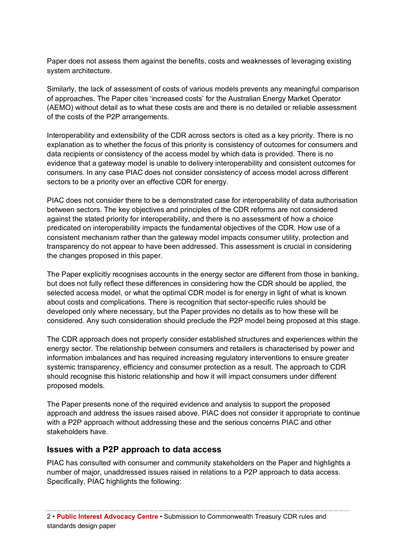Paper does not assess them against the benefits, costs and weaknesses of leveraging existing system architecture.

Similarly, the lack of assessment of costs of various models prevents any meaningful comparison of approaches. The Paper cites 'increased costs' for the Australian Energy Market Operator (AEMO) without detail as to what these costs are and there is no detailed or reliable assessment of the costs of the P2P arrangements.

Interoperability and extensibility of the CDR across sectors is cited as a key priority. There is no explanation as to whether the focus of this priority is consistency of outcomes for consumers and data recipients or consistency of the access model by which data is provided. There is no evidence that a gateway model is unable to delivery interoperability and consistent outcomes for consumers. In any case PIAC does not consider consistency of access model across different sectors to be a priority over an effective CDR for energy.

PIAC does not consider there to be a demonstrated case for interoperability of data authorisation between sectors. The key objectives and principles of the CDR reforms are not considered against the stated priority for interoperability, and there is no assessment of how a choice predicated on interoperability impacts the fundamental objectives of the CDR. How use of a consistent mechanism rather than the gateway model impacts consumer utility, protection and transparency do not appear to have been addressed. This assessment is crucial in considering the changes proposed in this paper.

The Paper explicitly recognises accounts in the energy sector are different from those in banking, but does not fully reflect these differences in considering how the CDR should be applied, the selected access model, or what the optimal CDR model is for energy in light of what is known about costs and complications. There is recognition that sector-specific rules should be developed only where necessary, but the Paper provides no details as to how these will be considered. Any such consideration should preclude the P2P model being proposed at this stage.

The CDR approach does not properly consider established structures and experiences within the energy sector. The relationship between consumers and retailers is characterised by power and information imbalances and has required increasing regulatory interventions to ensure greater systemic transparency, efficiency and consumer protection as a result. The approach to CDR should recognise this historic relationship and how it will impact consumers under different proposed models.

The Paper presents none of the required evidence and analysis to support the proposed approach and address the issues raised above. PIAC does not consider it appropriate to continue with a P2P approach without addressing these and the serious concerns PIAC and other stakeholders have.

#### **Issues with a P2P approach to data access**

PIAC has consulted with consumer and community stakeholders on the Paper and highlights a number of major, unaddressed issues raised in relations to a P2P approach to data access. Specifically, PIAC highlights the following: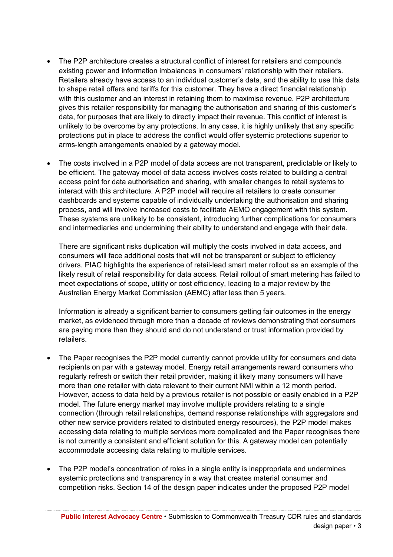- The P2P architecture creates a structural conflict of interest for retailers and compounds existing power and information imbalances in consumers' relationship with their retailers. Retailers already have access to an individual customer's data, and the ability to use this data to shape retail offers and tariffs for this customer. They have a direct financial relationship with this customer and an interest in retaining them to maximise revenue. P2P architecture gives this retailer responsibility for managing the authorisation and sharing of this customer's data, for purposes that are likely to directly impact their revenue. This conflict of interest is unlikely to be overcome by any protections. In any case, it is highly unlikely that any specific protections put in place to address the conflict would offer systemic protections superior to arms-length arrangements enabled by a gateway model.
- The costs involved in a P2P model of data access are not transparent, predictable or likely to be efficient. The gateway model of data access involves costs related to building a central access point for data authorisation and sharing, with smaller changes to retail systems to interact with this architecture. A P2P model will require all retailers to create consumer dashboards and systems capable of individually undertaking the authorisation and sharing process, and will involve increased costs to facilitate AEMO engagement with this system. These systems are unlikely to be consistent, introducing further complications for consumers and intermediaries and undermining their ability to understand and engage with their data.

There are significant risks duplication will multiply the costs involved in data access, and consumers will face additional costs that will not be transparent or subject to efficiency drivers. PIAC highlights the experience of retail-lead smart meter rollout as an example of the likely result of retail responsibility for data access. Retail rollout of smart metering has failed to meet expectations of scope, utility or cost efficiency, leading to a major review by the Australian Energy Market Commission (AEMC) after less than 5 years.

Information is already a significant barrier to consumers getting fair outcomes in the energy market, as evidenced through more than a decade of reviews demonstrating that consumers are paying more than they should and do not understand or trust information provided by retailers.

- The Paper recognises the P2P model currently cannot provide utility for consumers and data recipients on par with a gateway model. Energy retail arrangements reward consumers who regularly refresh or switch their retail provider, making it likely many consumers will have more than one retailer with data relevant to their current NMI within a 12 month period. However, access to data held by a previous retailer is not possible or easily enabled in a P2P model. The future energy market may involve multiple providers relating to a single connection (through retail relationships, demand response relationships with aggregators and other new service providers related to distributed energy resources), the P2P model makes accessing data relating to multiple services more complicated and the Paper recognises there is not currently a consistent and efficient solution for this. A gateway model can potentially accommodate accessing data relating to multiple services.
- The P2P model's concentration of roles in a single entity is inappropriate and undermines systemic protections and transparency in a way that creates material consumer and competition risks. Section 14 of the design paper indicates under the proposed P2P model

**Public Interest Advocacy Centre** • Submission to Commonwealth Treasury CDR rules and standards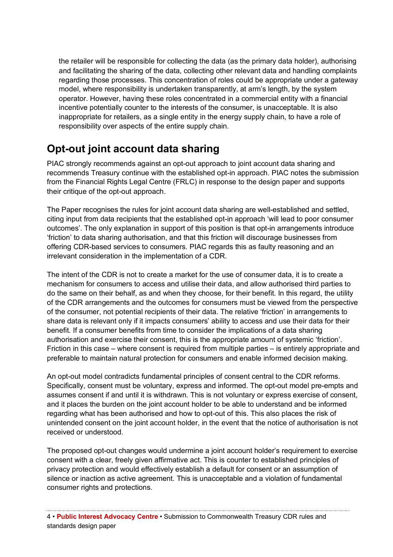the retailer will be responsible for collecting the data (as the primary data holder), authorising and facilitating the sharing of the data, collecting other relevant data and handling complaints regarding those processes. This concentration of roles could be appropriate under a gateway model, where responsibility is undertaken transparently, at arm's length, by the system operator. However, having these roles concentrated in a commercial entity with a financial incentive potentially counter to the interests of the consumer, is unacceptable. It is also inappropriate for retailers, as a single entity in the energy supply chain, to have a role of responsibility over aspects of the entire supply chain.

## **Opt-out joint account data sharing**

PIAC strongly recommends against an opt-out approach to joint account data sharing and recommends Treasury continue with the established opt-in approach. PIAC notes the submission from the Financial Rights Legal Centre (FRLC) in response to the design paper and supports their critique of the opt-out approach.

The Paper recognises the rules for joint account data sharing are well-established and settled, citing input from data recipients that the established opt-in approach 'will lead to poor consumer outcomes'. The only explanation in support of this position is that opt-in arrangements introduce 'friction' to data sharing authorisation, and that this friction will discourage businesses from offering CDR-based services to consumers. PIAC regards this as faulty reasoning and an irrelevant consideration in the implementation of a CDR.

The intent of the CDR is not to create a market for the use of consumer data, it is to create a mechanism for consumers to access and utilise their data, and allow authorised third parties to do the same on their behalf, as and when they choose, for their benefit. In this regard, the utility of the CDR arrangements and the outcomes for consumers must be viewed from the perspective of the consumer, not potential recipients of their data. The relative 'friction' in arrangements to share data is relevant only if it impacts consumers' ability to access and use their data for their benefit. If a consumer benefits from time to consider the implications of a data sharing authorisation and exercise their consent, this is the appropriate amount of systemic 'friction'. Friction in this case – where consent is required from multiple parties – is entirely appropriate and preferable to maintain natural protection for consumers and enable informed decision making.

An opt-out model contradicts fundamental principles of consent central to the CDR reforms. Specifically, consent must be voluntary, express and informed. The opt-out model pre-empts and assumes consent if and until it is withdrawn. This is not voluntary or express exercise of consent, and it places the burden on the joint account holder to be able to understand and be informed regarding what has been authorised and how to opt-out of this. This also places the risk of unintended consent on the joint account holder, in the event that the notice of authorisation is not received or understood.

The proposed opt-out changes would undermine a joint account holder's requirement to exercise consent with a clear, freely given affirmative act. This is counter to established principles of privacy protection and would effectively establish a default for consent or an assumption of silence or inaction as active agreement. This is unacceptable and a violation of fundamental consumer rights and protections.